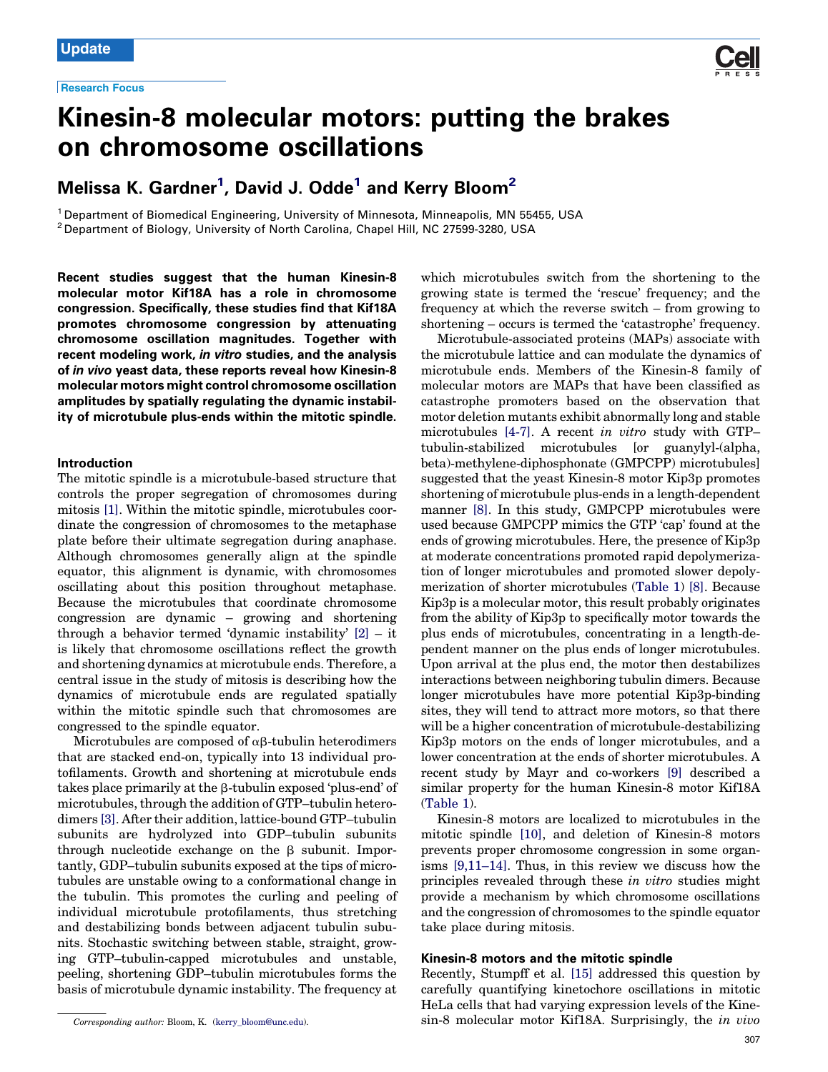

# Kinesin-8 molecular motors: putting the brakes on chromosome oscillations

# Melissa K. Gardner $^1$ , David J. Odde $^1$  and Kerry Bloom $^2$

<sup>1</sup> Department of Biomedical Engineering, University of Minnesota, Minneapolis, MN 55455, USA <sup>2</sup> Department of Biology, University of North Carolina, Chapel Hill, NC 27599-3280, USA

Recent studies suggest that the human Kinesin-8 molecular motor Kif18A has a role in chromosome congression. Specifically, these studies find that Kif18A promotes chromosome congression by attenuating chromosome oscillation magnitudes. Together with recent modeling work, in vitro studies, and the analysis of in vivo yeast data, these reports reveal how Kinesin-8 molecular motors might control chromosome oscillation amplitudes by spatially regulating the dynamic instability of microtubule plus-ends within the mitotic spindle.

## Introduction

The mitotic spindle is a microtubule-based structure that controls the proper segregation of chromosomes during mitosis [\[1\].](#page-3-0) Within the mitotic spindle, microtubules coordinate the congression of chromosomes to the metaphase plate before their ultimate segregation during anaphase. Although chromosomes generally align at the spindle equator, this alignment is dynamic, with chromosomes oscillating about this position throughout metaphase. Because the microtubules that coordinate chromosome congression are dynamic – growing and shortening through a behavior termed 'dynamic instability' [\[2\]](#page-3-0) – it is likely that chromosome oscillations reflect the growth and shortening dynamics at microtubule ends. Therefore, a central issue in the study of mitosis is describing how the dynamics of microtubule ends are regulated spatially within the mitotic spindle such that chromosomes are congressed to the spindle equator.

Microtubules are composed of  $\alpha\beta$ -tubulin heterodimers that are stacked end-on, typically into 13 individual protofilaments. Growth and shortening at microtubule ends takes place primarily at the  $\beta$ -tubulin exposed 'plus-end' of microtubules, through the addition of GTP–tubulin heterodimers [\[3\].](#page-3-0) After their addition, lattice-bound GTP–tubulin subunits are hydrolyzed into GDP–tubulin subunits through nucleotide exchange on the  $\beta$  subunit. Importantly, GDP–tubulin subunits exposed at the tips of microtubules are unstable owing to a conformational change in the tubulin. This promotes the curling and peeling of individual microtubule protofilaments, thus stretching and destabilizing bonds between adjacent tubulin subunits. Stochastic switching between stable, straight, growing GTP–tubulin-capped microtubules and unstable, peeling, shortening GDP–tubulin microtubules forms the basis of microtubule dynamic instability. The frequency at

which microtubules switch from the shortening to the growing state is termed the 'rescue' frequency; and the frequency at which the reverse switch – from growing to shortening – occurs is termed the 'catastrophe' frequency.

Microtubule-associated proteins (MAPs) associate with the microtubule lattice and can modulate the dynamics of microtubule ends. Members of the Kinesin-8 family of molecular motors are MAPs that have been classified as catastrophe promoters based on the observation that motor deletion mutants exhibit abnormally long and stable microtubules [\[4-7\].](#page-3-0) A recent in vitro study with GTP– tubulin-stabilized microtubules [or guanylyl-(alpha, beta)-methylene-diphosphonate (GMPCPP) microtubules] suggested that the yeast Kinesin-8 motor Kip3p promotes shortening of microtubule plus-ends in a length-dependent manner [\[8\]](#page-3-0). In this study, GMPCPP microtubules were used because GMPCPP mimics the GTP 'cap' found at the ends of growing microtubules. Here, the presence of Kip3p at moderate concentrations promoted rapid depolymerization of longer microtubules and promoted slower depolymerization of shorter microtubules (Table 1) [\[8\]](#page-3-0). Because Kip3p is a molecular motor, this result probably originates from the ability of Kip3p to specifically motor towards the plus ends of microtubules, concentrating in a length-dependent manner on the plus ends of longer microtubules. Upon arrival at the plus end, the motor then destabilizes interactions between neighboring tubulin dimers. Because longer microtubules have more potential Kip3p-binding sites, they will tend to attract more motors, so that there will be a higher concentration of microtubule-destabilizing Kip3p motors on the ends of longer microtubules, and a lower concentration at the ends of shorter microtubules. A recent study by Mayr and co-workers [\[9\]](#page-3-0) described a similar property for the human Kinesin-8 motor Kif18A (Table 1).

Kinesin-8 motors are localized to microtubules in the mitotic spindle [\[10\]](#page-3-0), and deletion of Kinesin-8 motors prevents proper chromosome congression in some organisms [\[9,11–14\]](#page-3-0). Thus, in this review we discuss how the principles revealed through these in vitro studies might provide a mechanism by which chromosome oscillations and the congression of chromosomes to the spindle equator take place during mitosis.

# Kinesin-8 motors and the mitotic spindle

Recently, Stumpff et al. [\[15\]](#page-3-0) addressed this question by carefully quantifying kinetochore oscillations in mitotic HeLa cells that had varying expression levels of the Kinesin-8 molecular motor Kif18A. Surprisingly, the in vivo

Corresponding author: Bloom, K. ([kerry\\_bloom@unc.edu\)](mailto:kerry_bloom@unc.edu).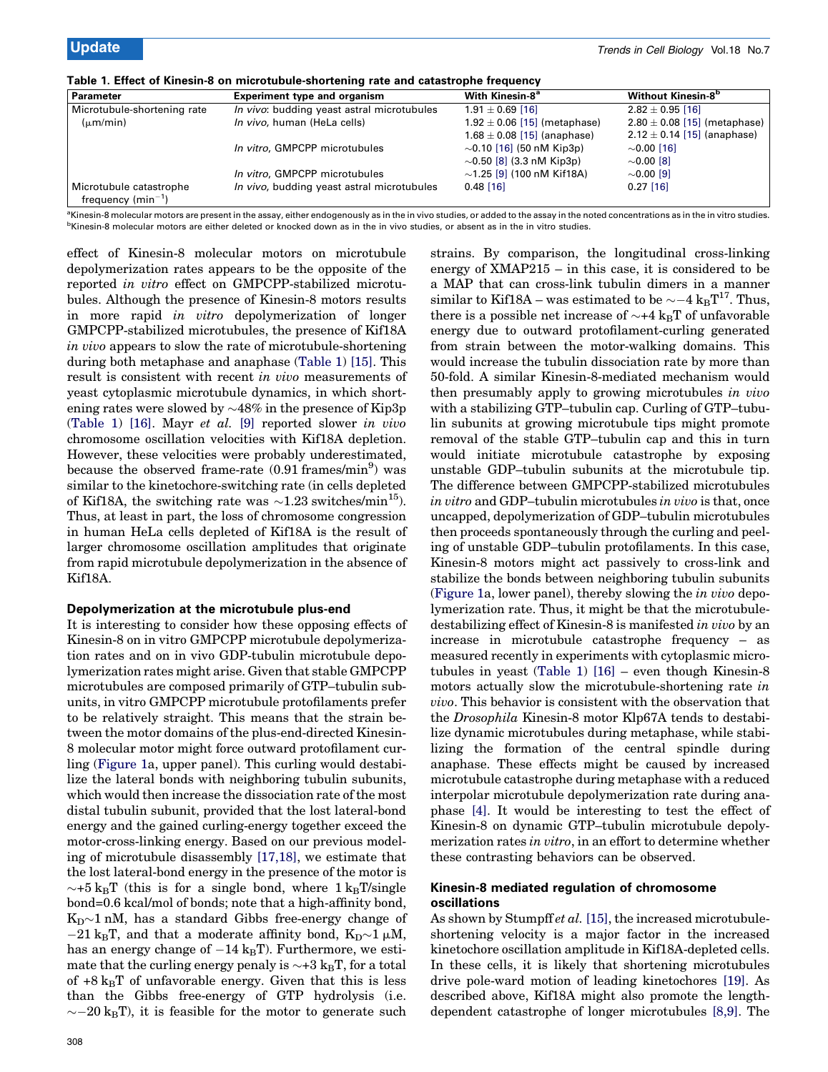| <b>Parameter</b>                                  | <b>Experiment type and organism</b>        | With Kinesin-8 <sup>a</sup>      | <b>Without Kinesin-8<sup>b</sup></b> |
|---------------------------------------------------|--------------------------------------------|----------------------------------|--------------------------------------|
| Microtubule-shortening rate                       | In vivo: budding yeast astral microtubules | $1.91 \pm 0.69$ [16]             | $2.82 \pm 0.95$ [16]                 |
| $(\mu m/min)$                                     | In vivo, human (HeLa cells)                | $1.92 \pm 0.06$ [15] (metaphase) | $2.80 \pm 0.08$ [15] (metaphase)     |
|                                                   |                                            | $1.68 \pm 0.08$ [15] (anaphase)  | $2.12 \pm 0.14$ [15] (anaphase)      |
|                                                   | In vitro, GMPCPP microtubules              | $\sim$ 0.10 [16] (50 nM Kip3p)   | $\sim$ 0.00 [16]                     |
|                                                   |                                            | $\sim$ 0.50 [8] (3.3 nM Kip3p)   | $\sim$ 0.00 [8]                      |
|                                                   | In vitro, GMPCPP microtubules              | $\sim$ 1.25 [9] (100 nM Kif18A)  | $\sim$ 0.00 [9]                      |
| Microtubule catastrophe<br>frequency $(min^{-1})$ | In vivo, budding yeast astral microtubules | $0.48$ [16]                      | $0.27$ [16]                          |

<sup>a</sup>Kinesin-8 molecular motors are present in the assay, either endogenously as in the in vivo studies, or added to the assay in the noted concentrations as in the in vitro studies. <sup>b</sup>Kinesin-8 molecular motors are either deleted or knocked down as in the in vivo studies, or absent as in the in vitro studies.

effect of Kinesin-8 molecular motors on microtubule depolymerization rates appears to be the opposite of the reported in vitro effect on GMPCPP-stabilized microtubules. Although the presence of Kinesin-8 motors results in more rapid in vitro depolymerization of longer GMPCPP-stabilized microtubules, the presence of Kif18A in vivo appears to slow the rate of microtubule-shortening during both metaphase and anaphase (Table 1) [\[15\].](#page-3-0) This result is consistent with recent in vivo measurements of yeast cytoplasmic microtubule dynamics, in which shortening rates were slowed by  $\sim\!\!48\%$  in the presence of Kip3p (Table 1) [\[16\]](#page-3-0). Mayr et al. [\[9\]](#page-3-0) reported slower in vivo chromosome oscillation velocities with Kif18A depletion. However, these velocities were probably underestimated, because the observed frame-rate  $(0.91 \text{ frames/min}^9)$  was similar to the kinetochore-switching rate (in cells depleted of Kif18A, the switching rate was  $\sim$ 1.23 switches/min<sup>15</sup>). Thus, at least in part, the loss of chromosome congression in human HeLa cells depleted of Kif18A is the result of larger chromosome oscillation amplitudes that originate from rapid microtubule depolymerization in the absence of Kif18A.

#### Depolymerization at the microtubule plus-end

It is interesting to consider how these opposing effects of Kinesin-8 on in vitro GMPCPP microtubule depolymerization rates and on in vivo GDP-tubulin microtubule depolymerization rates might arise. Given that stable GMPCPP microtubules are composed primarily of GTP–tubulin subunits, in vitro GMPCPP microtubule protofilaments prefer to be relatively straight. This means that the strain between the motor domains of the plus-end-directed Kinesin-8 molecular motor might force outward protofilament curling (Figure 1a, upper panel). This curling would destabilize the lateral bonds with neighboring tubulin subunits, which would then increase the dissociation rate of the most distal tubulin subunit, provided that the lost lateral-bond energy and the gained curling-energy together exceed the motor-cross-linking energy. Based on our previous modeling of microtubule disassembly [\[17,18\],](#page-3-0) we estimate that the lost lateral-bond energy in the presence of the motor is  $\sim$ +5 k<sub>B</sub>T (this is for a single bond, where  $1 \text{ k}_{\text{B}}$ T/single bond=0.6 kcal/mol of bonds; note that a high-affinity bond,  $\mathrm{K_{D}\!\!\sim\!1}$  nM, has a standard Gibbs free-energy change of  $-21 \text{ k}_{\text{B}}$ T, and that a moderate affinity bond,  $\text{K}_{\text{D}} \sim 1 \mu \text{M}$ , has an energy change of  $-14 \text{ kgT}$ ). Furthermore, we estimate that the curling energy penaly is  $\sim$ +3 k $_{\rm B}$ T, for a total of  $+8\ \mathrm{k}_{\mathrm{B}}\mathrm{T}$  of unfavorable energy. Given that this is less than the Gibbs free-energy of GTP hydrolysis (i.e.  $\sim$  –20 k<sub>B</sub>T), it is feasible for the motor to generate such

strains. By comparison, the longitudinal cross-linking energy of XMAP215 – in this case, it is considered to be a MAP that can cross-link tubulin dimers in a manner similar to Kif18A – was estimated to be  $\sim$  –4  $\mathrm{k_B T^{17}}$ . Thus, there is a possible net increase of  $\sim$ +4 k<sub>B</sub>T of unfavorable energy due to outward protofilament-curling generated from strain between the motor-walking domains. This would increase the tubulin dissociation rate by more than 50-fold. A similar Kinesin-8-mediated mechanism would then presumably apply to growing microtubules in vivo with a stabilizing GTP–tubulin cap. Curling of GTP–tubulin subunits at growing microtubule tips might promote removal of the stable GTP–tubulin cap and this in turn would initiate microtubule catastrophe by exposing unstable GDP–tubulin subunits at the microtubule tip. The difference between GMPCPP-stabilized microtubules in vitro and GDP–tubulin microtubules in vivo is that, once uncapped, depolymerization of GDP–tubulin microtubules then proceeds spontaneously through the curling and peeling of unstable GDP–tubulin protofilaments. In this case, Kinesin-8 motors might act passively to cross-link and stabilize the bonds between neighboring tubulin subunits (Figure 1a, lower panel), thereby slowing the in vivo depolymerization rate. Thus, it might be that the microtubuledestabilizing effect of Kinesin-8 is manifested in vivo by an increase in microtubule catastrophe frequency – as measured recently in experiments with cytoplasmic microtubules in yeast (Table 1) [\[16\]](#page-3-0) – even though Kinesin-8 motors actually slow the microtubule-shortening rate in vivo. This behavior is consistent with the observation that the Drosophila Kinesin-8 motor Klp67A tends to destabilize dynamic microtubules during metaphase, while stabilizing the formation of the central spindle during anaphase. These effects might be caused by increased microtubule catastrophe during metaphase with a reduced interpolar microtubule depolymerization rate during anaphase [\[4\]](#page-3-0). It would be interesting to test the effect of Kinesin-8 on dynamic GTP–tubulin microtubule depolymerization rates in vitro, in an effort to determine whether these contrasting behaviors can be observed.

# Kinesin-8 mediated regulation of chromosome oscillations

As shown by Stumpff et al. [\[15\]](#page-3-0), the increased microtubuleshortening velocity is a major factor in the increased kinetochore oscillation amplitude in Kif18A-depleted cells. In these cells, it is likely that shortening microtubules drive pole-ward motion of leading kinetochores [\[19\].](#page-3-0) As described above, Kif18A might also promote the lengthdependent catastrophe of longer microtubules [\[8,9\]](#page-3-0). The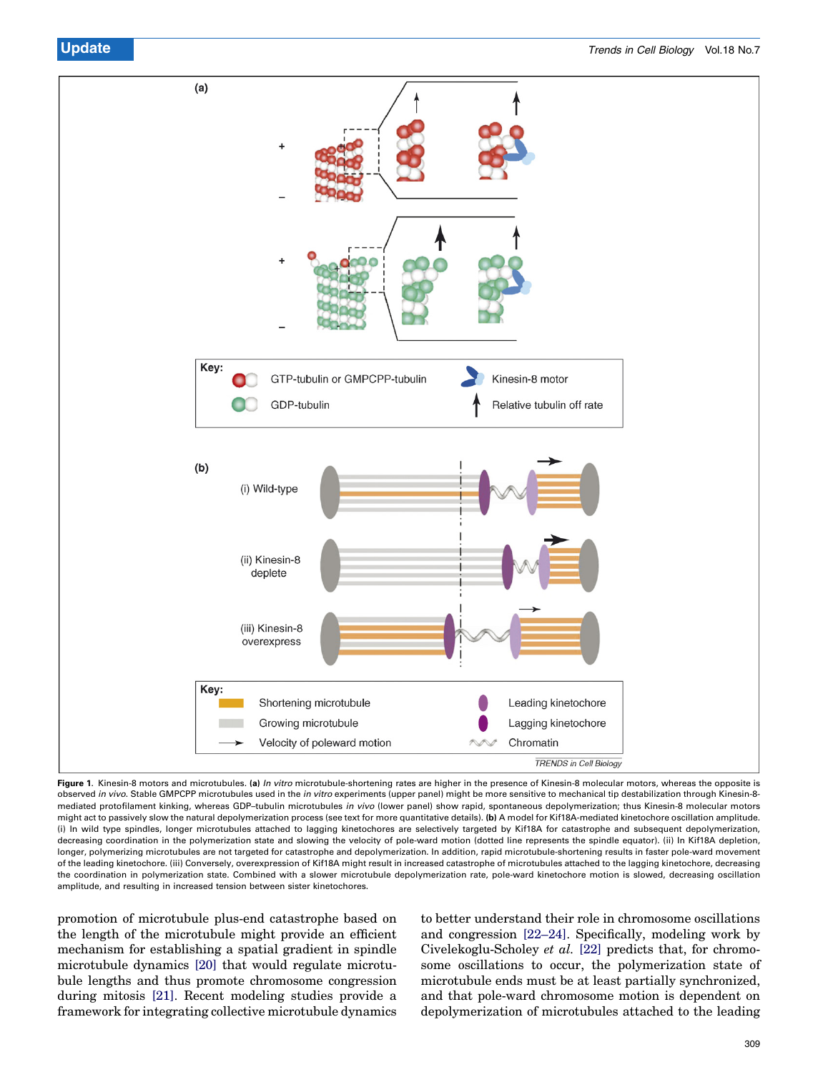

Figure 1. Kinesin-8 motors and microtubules. (a) *In vitro* microtubule-shortening rates are higher in the presence of Kinesin-8 molecular motors, whereas the opposite is observed in vivo. Stable GMPCPP microtubules used in the in vitro experiments (upper panel) might be more sensitive to mechanical tip destabilization through Kinesin-8mediated protofilament kinking, whereas GDP–tubulin microtubules in vivo (lower panel) show rapid, spontaneous depolymerization; thus Kinesin-8 molecular motors might act to passively slow the natural depolymerization process (see text for more quantitative details). (b) A model for Kif18A-mediated kinetochore oscillation amplitude. (i) In wild type spindles, longer microtubules attached to lagging kinetochores are selectively targeted by Kif18A for catastrophe and subsequent depolymerization, decreasing coordination in the polymerization state and slowing the velocity of pole-ward motion (dotted line represents the spindle equator). (ii) In Kif18A depletion, longer, polymerizing microtubules are not targeted for catastrophe and depolymerization. In addition, rapid microtubule-shortening results in faster pole-ward movement of the leading kinetochore. (iii) Conversely, overexpression of Kif18A might result in increased catastrophe of microtubules attached to the lagging kinetochore, decreasing the coordination in polymerization state. Combined with a slower microtubule depolymerization rate, pole-ward kinetochore motion is slowed, decreasing oscillation amplitude, and resulting in increased tension between sister kinetochores.

promotion of microtubule plus-end catastrophe based on the length of the microtubule might provide an efficient mechanism for establishing a spatial gradient in spindle microtubule dynamics [\[20\]](#page-3-0) that would regulate microtubule lengths and thus promote chromosome congression during mitosis [\[21\].](#page-3-0) Recent modeling studies provide a framework for integrating collective microtubule dynamics

to better understand their role in chromosome oscillations and congression [\[22–24\]](#page-3-0). Specifically, modeling work by Civelekoglu-Scholey et al. [\[22\]](#page-3-0) predicts that, for chromosome oscillations to occur, the polymerization state of microtubule ends must be at least partially synchronized, and that pole-ward chromosome motion is dependent on depolymerization of microtubules attached to the leading